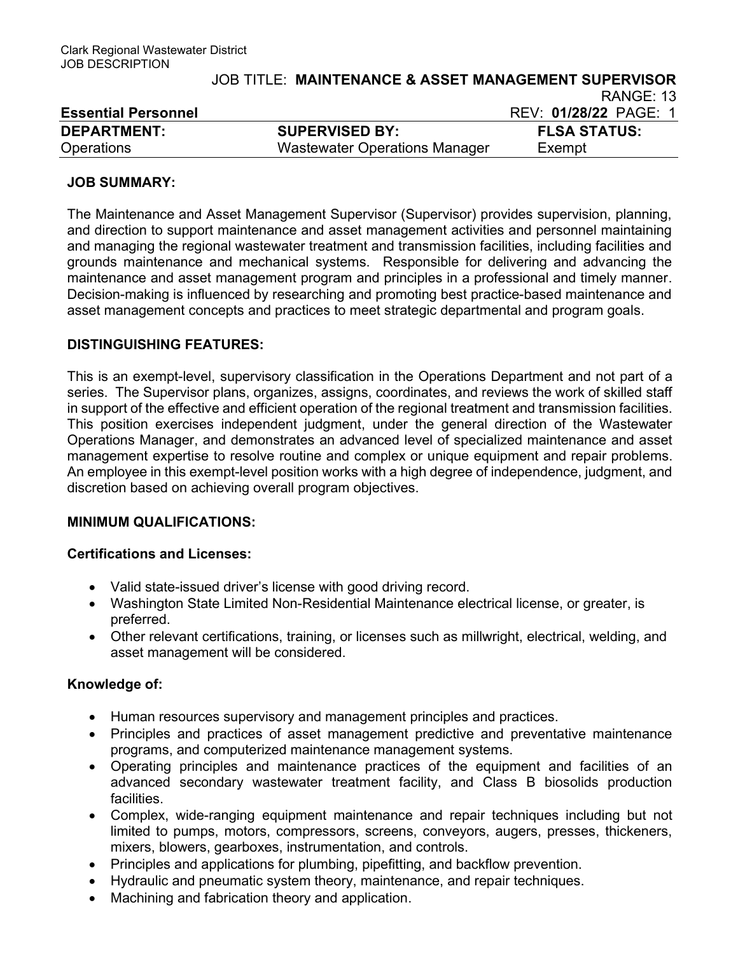| LSSUING FUSUING    |                                      | ILLV. VIIZUIZZ I AUL. |
|--------------------|--------------------------------------|-----------------------|
| <b>DEPARTMENT:</b> | <b>SUPERVISED BY:</b>                | <b>FLSA STATUS:</b>   |
| <b>Operations</b>  | <b>Wastewater Operations Manager</b> | Exempt                |

## JOB SUMMARY:

The Maintenance and Asset Management Supervisor (Supervisor) provides supervision, planning, and direction to support maintenance and asset management activities and personnel maintaining and managing the regional wastewater treatment and transmission facilities, including facilities and grounds maintenance and mechanical systems. Responsible for delivering and advancing the maintenance and asset management program and principles in a professional and timely manner. Decision-making is influenced by researching and promoting best practice-based maintenance and asset management concepts and practices to meet strategic departmental and program goals.

## DISTINGUISHING FEATURES:

This is an exempt-level, supervisory classification in the Operations Department and not part of a series. The Supervisor plans, organizes, assigns, coordinates, and reviews the work of skilled staff in support of the effective and efficient operation of the regional treatment and transmission facilities. This position exercises independent judgment, under the general direction of the Wastewater Operations Manager, and demonstrates an advanced level of specialized maintenance and asset management expertise to resolve routine and complex or unique equipment and repair problems. An employee in this exempt-level position works with a high degree of independence, judgment, and discretion based on achieving overall program objectives.

## MINIMUM QUALIFICATIONS:

## Certifications and Licenses:

- Valid state-issued driver's license with good driving record.
- Washington State Limited Non-Residential Maintenance electrical license, or greater, is preferred.
- Other relevant certifications, training, or licenses such as millwright, electrical, welding, and asset management will be considered.

## Knowledge of:

- Human resources supervisory and management principles and practices.
- Principles and practices of asset management predictive and preventative maintenance programs, and computerized maintenance management systems.
- Operating principles and maintenance practices of the equipment and facilities of an advanced secondary wastewater treatment facility, and Class B biosolids production facilities.
- Complex, wide-ranging equipment maintenance and repair techniques including but not limited to pumps, motors, compressors, screens, conveyors, augers, presses, thickeners, mixers, blowers, gearboxes, instrumentation, and controls.
- Principles and applications for plumbing, pipefitting, and backflow prevention.
- Hydraulic and pneumatic system theory, maintenance, and repair techniques.
- Machining and fabrication theory and application.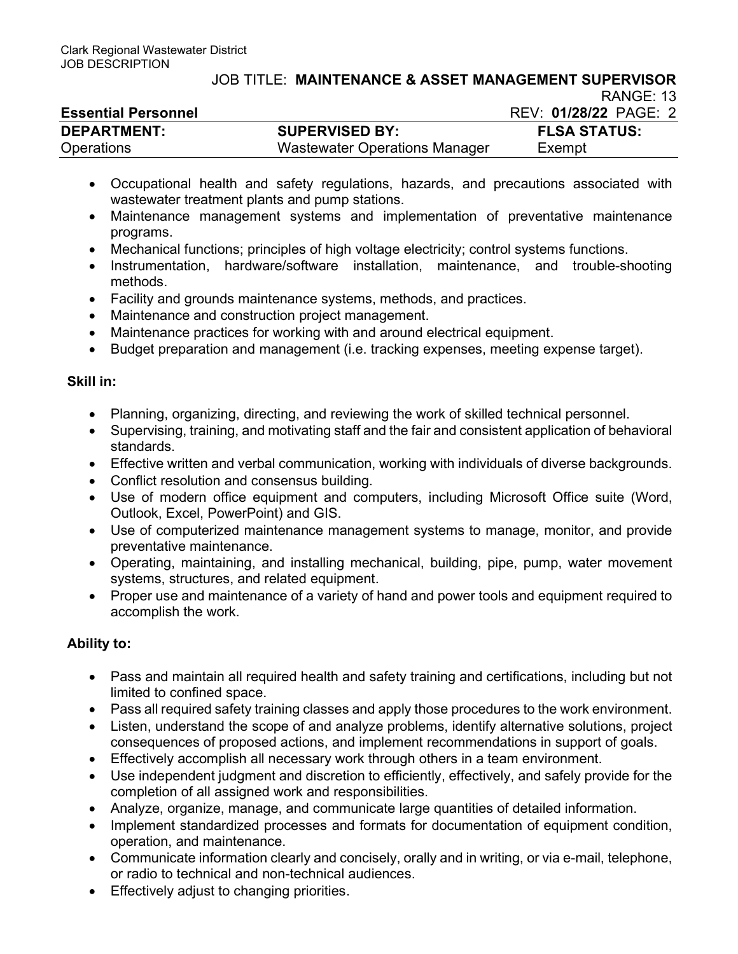|                            |                               | .                     |
|----------------------------|-------------------------------|-----------------------|
| <b>Essential Personnel</b> |                               | REV: 01/28/22 PAGE: 2 |
| <b>DEPARTMENT:</b>         | <b>SUPERVISED BY:</b>         | <b>FLSA STATUS:</b>   |
| Operations                 | Wastewater Operations Manager | Exempt                |

- Occupational health and safety regulations, hazards, and precautions associated with wastewater treatment plants and pump stations.
- Maintenance management systems and implementation of preventative maintenance programs.
- Mechanical functions; principles of high voltage electricity; control systems functions.
- Instrumentation, hardware/software installation, maintenance, and trouble-shooting methods.
- Facility and grounds maintenance systems, methods, and practices.
- Maintenance and construction project management.
- Maintenance practices for working with and around electrical equipment.
- Budget preparation and management (i.e. tracking expenses, meeting expense target).

# Skill in:

- Planning, organizing, directing, and reviewing the work of skilled technical personnel.
- Supervising, training, and motivating staff and the fair and consistent application of behavioral standards.
- Effective written and verbal communication, working with individuals of diverse backgrounds.
- Conflict resolution and consensus building.
- Use of modern office equipment and computers, including Microsoft Office suite (Word, Outlook, Excel, PowerPoint) and GIS.
- Use of computerized maintenance management systems to manage, monitor, and provide preventative maintenance.
- Operating, maintaining, and installing mechanical, building, pipe, pump, water movement systems, structures, and related equipment.
- Proper use and maintenance of a variety of hand and power tools and equipment required to accomplish the work.

# Ability to:

- Pass and maintain all required health and safety training and certifications, including but not limited to confined space.
- Pass all required safety training classes and apply those procedures to the work environment.
- Listen, understand the scope of and analyze problems, identify alternative solutions, project consequences of proposed actions, and implement recommendations in support of goals.
- Effectively accomplish all necessary work through others in a team environment.
- Use independent judgment and discretion to efficiently, effectively, and safely provide for the completion of all assigned work and responsibilities.
- Analyze, organize, manage, and communicate large quantities of detailed information.
- Implement standardized processes and formats for documentation of equipment condition, operation, and maintenance.
- Communicate information clearly and concisely, orally and in writing, or via e-mail, telephone, or radio to technical and non-technical audiences.
- **•** Effectively adjust to changing priorities.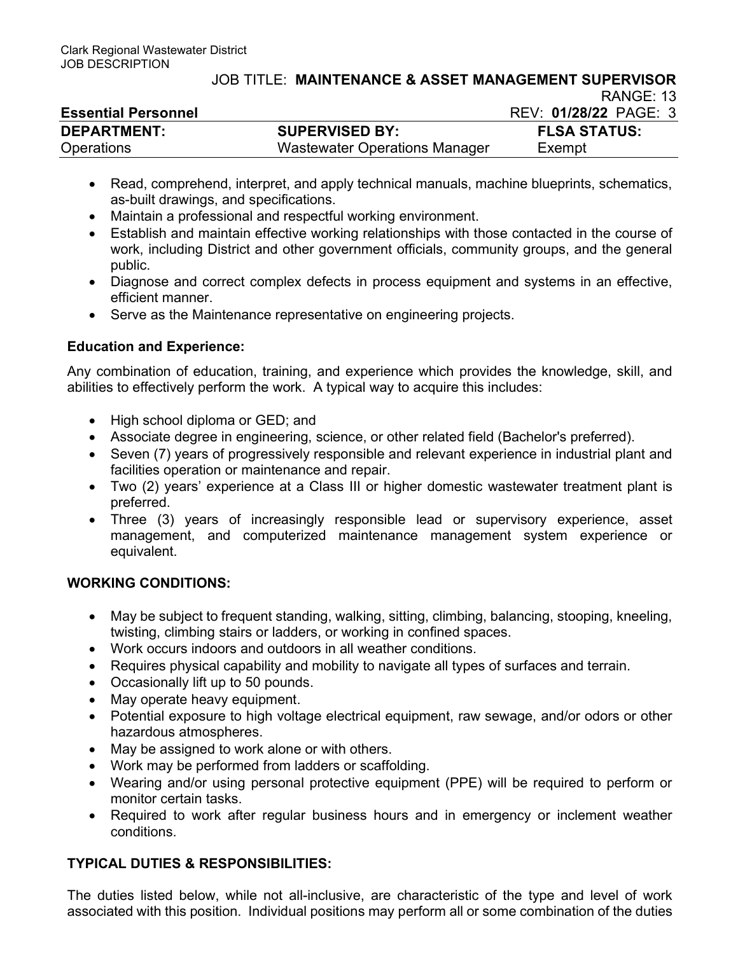#### JOB TITLE: MAINTENANCE & ASSET MANAGEMENT SUPERVISOR  $RANGF: 13$

| <b>Essential Personnel</b> | .<br>REV: 01/28/22 PAGE: 3           |                     |
|----------------------------|--------------------------------------|---------------------|
| <b>DEPARTMENT:</b>         | <b>SUPERVISED BY:</b>                | <b>FLSA STATUS:</b> |
| Operations                 | <b>Wastewater Operations Manager</b> | Exempt              |

- Read, comprehend, interpret, and apply technical manuals, machine blueprints, schematics, as-built drawings, and specifications.
- Maintain a professional and respectful working environment.
- Establish and maintain effective working relationships with those contacted in the course of work, including District and other government officials, community groups, and the general public.
- Diagnose and correct complex defects in process equipment and systems in an effective, efficient manner.
- Serve as the Maintenance representative on engineering projects.

## Education and Experience:

Any combination of education, training, and experience which provides the knowledge, skill, and abilities to effectively perform the work. A typical way to acquire this includes:

- High school diploma or GED; and
- Associate degree in engineering, science, or other related field (Bachelor's preferred).
- Seven (7) years of progressively responsible and relevant experience in industrial plant and facilities operation or maintenance and repair.
- Two (2) years' experience at a Class III or higher domestic wastewater treatment plant is preferred.
- Three (3) years of increasingly responsible lead or supervisory experience, asset management, and computerized maintenance management system experience or equivalent.

## WORKING CONDITIONS:

- May be subject to frequent standing, walking, sitting, climbing, balancing, stooping, kneeling, twisting, climbing stairs or ladders, or working in confined spaces.
- Work occurs indoors and outdoors in all weather conditions.
- Requires physical capability and mobility to navigate all types of surfaces and terrain.
- Occasionally lift up to 50 pounds.
- May operate heavy equipment.
- Potential exposure to high voltage electrical equipment, raw sewage, and/or odors or other hazardous atmospheres.
- May be assigned to work alone or with others.
- Work may be performed from ladders or scaffolding.
- Wearing and/or using personal protective equipment (PPE) will be required to perform or monitor certain tasks.
- Required to work after regular business hours and in emergency or inclement weather conditions.

## TYPICAL DUTIES & RESPONSIBILITIES:

The duties listed below, while not all-inclusive, are characteristic of the type and level of work associated with this position. Individual positions may perform all or some combination of the duties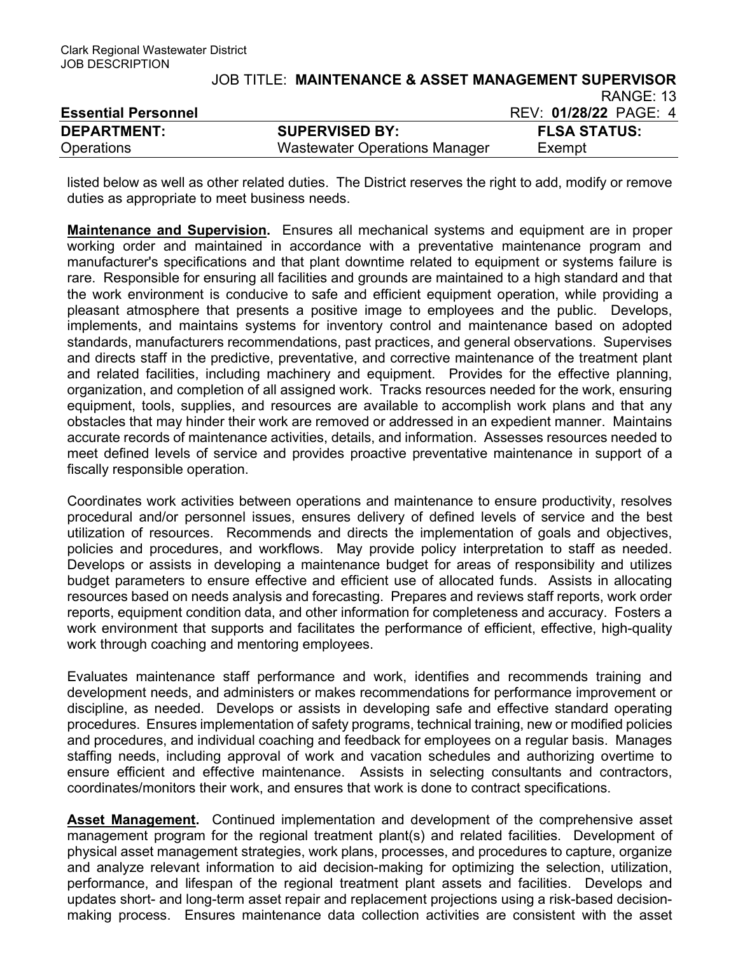|                            | <b>JOB TITLE: MAINTENANCE &amp; ASSET MANAGEMENT SUPERVISOR</b> |                       |
|----------------------------|-----------------------------------------------------------------|-----------------------|
|                            |                                                                 | RANGE: 13             |
| <b>Essential Personnel</b> |                                                                 | REV: 01/28/22 PAGE: 4 |
| <b>DEPARTMENT:</b>         | <b>SUPERVISED BY:</b>                                           | <b>FLSA STATUS:</b>   |
| <b>Operations</b>          | Wastewater Operations Manager                                   | Exempt                |

listed below as well as other related duties. The District reserves the right to add, modify or remove duties as appropriate to meet business needs.

**Maintenance and Supervision.** Ensures all mechanical systems and equipment are in proper working order and maintained in accordance with a preventative maintenance program and manufacturer's specifications and that plant downtime related to equipment or systems failure is rare. Responsible for ensuring all facilities and grounds are maintained to a high standard and that the work environment is conducive to safe and efficient equipment operation, while providing a pleasant atmosphere that presents a positive image to employees and the public. Develops, implements, and maintains systems for inventory control and maintenance based on adopted standards, manufacturers recommendations, past practices, and general observations. Supervises and directs staff in the predictive, preventative, and corrective maintenance of the treatment plant and related facilities, including machinery and equipment. Provides for the effective planning, organization, and completion of all assigned work. Tracks resources needed for the work, ensuring equipment, tools, supplies, and resources are available to accomplish work plans and that any obstacles that may hinder their work are removed or addressed in an expedient manner. Maintains accurate records of maintenance activities, details, and information. Assesses resources needed to meet defined levels of service and provides proactive preventative maintenance in support of a fiscally responsible operation.

Coordinates work activities between operations and maintenance to ensure productivity, resolves procedural and/or personnel issues, ensures delivery of defined levels of service and the best utilization of resources. Recommends and directs the implementation of goals and objectives, policies and procedures, and workflows. May provide policy interpretation to staff as needed. Develops or assists in developing a maintenance budget for areas of responsibility and utilizes budget parameters to ensure effective and efficient use of allocated funds. Assists in allocating resources based on needs analysis and forecasting. Prepares and reviews staff reports, work order reports, equipment condition data, and other information for completeness and accuracy. Fosters a work environment that supports and facilitates the performance of efficient, effective, high-quality work through coaching and mentoring employees.

Evaluates maintenance staff performance and work, identifies and recommends training and development needs, and administers or makes recommendations for performance improvement or discipline, as needed. Develops or assists in developing safe and effective standard operating procedures. Ensures implementation of safety programs, technical training, new or modified policies and procedures, and individual coaching and feedback for employees on a regular basis. Manages staffing needs, including approval of work and vacation schedules and authorizing overtime to ensure efficient and effective maintenance. Assists in selecting consultants and contractors, coordinates/monitors their work, and ensures that work is done to contract specifications.

Asset Management. Continued implementation and development of the comprehensive asset management program for the regional treatment plant(s) and related facilities. Development of physical asset management strategies, work plans, processes, and procedures to capture, organize and analyze relevant information to aid decision-making for optimizing the selection, utilization, performance, and lifespan of the regional treatment plant assets and facilities. Develops and updates short- and long-term asset repair and replacement projections using a risk-based decisionmaking process. Ensures maintenance data collection activities are consistent with the asset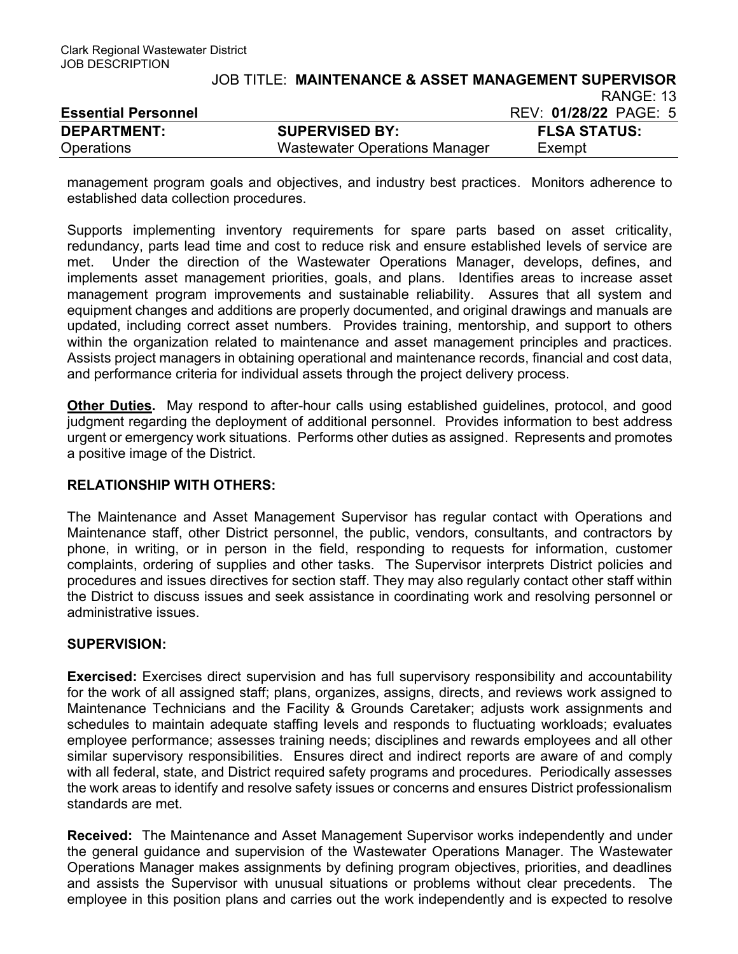management program goals and objectives, and industry best practices. Monitors adherence to established data collection procedures.

Operations Wastewater Operations Manager Exempt

Supports implementing inventory requirements for spare parts based on asset criticality, redundancy, parts lead time and cost to reduce risk and ensure established levels of service are met. Under the direction of the Wastewater Operations Manager, develops, defines, and implements asset management priorities, goals, and plans. Identifies areas to increase asset management program improvements and sustainable reliability. Assures that all system and equipment changes and additions are properly documented, and original drawings and manuals are updated, including correct asset numbers. Provides training, mentorship, and support to others within the organization related to maintenance and asset management principles and practices. Assists project managers in obtaining operational and maintenance records, financial and cost data, and performance criteria for individual assets through the project delivery process.

Other Duties. May respond to after-hour calls using established guidelines, protocol, and good judgment regarding the deployment of additional personnel. Provides information to best address urgent or emergency work situations. Performs other duties as assigned. Represents and promotes a positive image of the District.

## RELATIONSHIP WITH OTHERS:

The Maintenance and Asset Management Supervisor has regular contact with Operations and Maintenance staff, other District personnel, the public, vendors, consultants, and contractors by phone, in writing, or in person in the field, responding to requests for information, customer complaints, ordering of supplies and other tasks. The Supervisor interprets District policies and procedures and issues directives for section staff. They may also regularly contact other staff within the District to discuss issues and seek assistance in coordinating work and resolving personnel or administrative issues.

## SUPERVISION:

Exercised: Exercises direct supervision and has full supervisory responsibility and accountability for the work of all assigned staff; plans, organizes, assigns, directs, and reviews work assigned to Maintenance Technicians and the Facility & Grounds Caretaker; adjusts work assignments and schedules to maintain adequate staffing levels and responds to fluctuating workloads; evaluates employee performance; assesses training needs; disciplines and rewards employees and all other similar supervisory responsibilities. Ensures direct and indirect reports are aware of and comply with all federal, state, and District required safety programs and procedures. Periodically assesses the work areas to identify and resolve safety issues or concerns and ensures District professionalism standards are met.

Received: The Maintenance and Asset Management Supervisor works independently and under the general guidance and supervision of the Wastewater Operations Manager. The Wastewater Operations Manager makes assignments by defining program objectives, priorities, and deadlines and assists the Supervisor with unusual situations or problems without clear precedents. The employee in this position plans and carries out the work independently and is expected to resolve